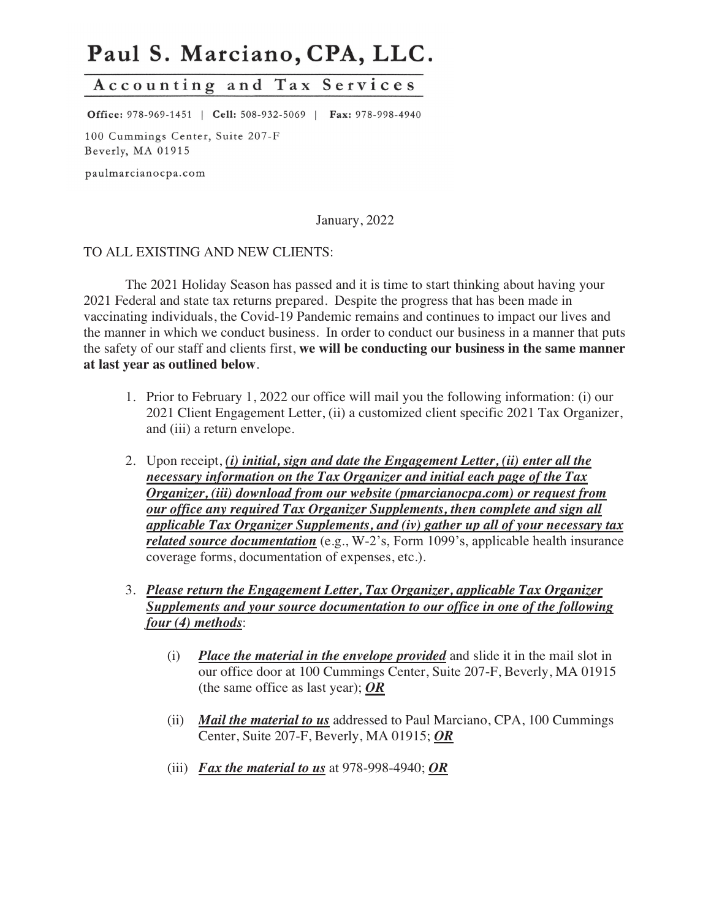# Paul S. Marciano, CPA, LLC.

# Accounting and Tax Services

Office: 978-969-1451 | Cell: 508-932-5069 | Fax: 978-998-4940

100 Cummings Center, Suite 207-F Beverly, MA 01915

paulmarcianocpa.com

January, 2022

#### TO ALL EXISTING AND NEW CLIENTS:

The 2021 Holiday Season has passed and it is time to start thinking about having your 2021 Federal and state tax returns prepared. Despite the progress that has been made in vaccinating individuals, the Covid-19 Pandemic remains and continues to impact our lives and the manner in which we conduct business. In order to conduct our business in a manner that puts the safety of our staff and clients first, **we will be conducting our business in the same manner at last year as outlined below**.

- 1. Prior to February 1, 2022 our office will mail you the following information: (i) our 2021 Client Engagement Letter, (ii) a customized client specific 2021 Tax Organizer, and (iii) a return envelope.
- 2. Upon receipt, *(i) initial, sign and date the Engagement Letter, (ii) enter all the necessary information on the Tax Organizer and initial each page of the Tax Organizer, (iii) download from our website (pmarcianocpa.com) or request from our office any required Tax Organizer Supplements, then complete and sign all applicable Tax Organizer Supplements, and (iv) gather up all of your necessary tax related source documentation* (e.g., W-2's, Form 1099's, applicable health insurance coverage forms, documentation of expenses, etc.).
- 3. *Please return the Engagement Letter, Tax Organizer, applicable Tax Organizer Supplements and your source documentation to our office in one of the following four (4) methods*:
	- (i) *Place the material in the envelope provided* and slide it in the mail slot in our office door at 100 Cummings Center, Suite 207-F, Beverly, MA 01915 (the same office as last year); *OR*
	- (ii) *Mail the material to us* addressed to Paul Marciano, CPA, 100 Cummings Center, Suite 207-F, Beverly, MA 01915; *OR*
	- (iii) *Fax the material to us* at 978-998-4940; *OR*